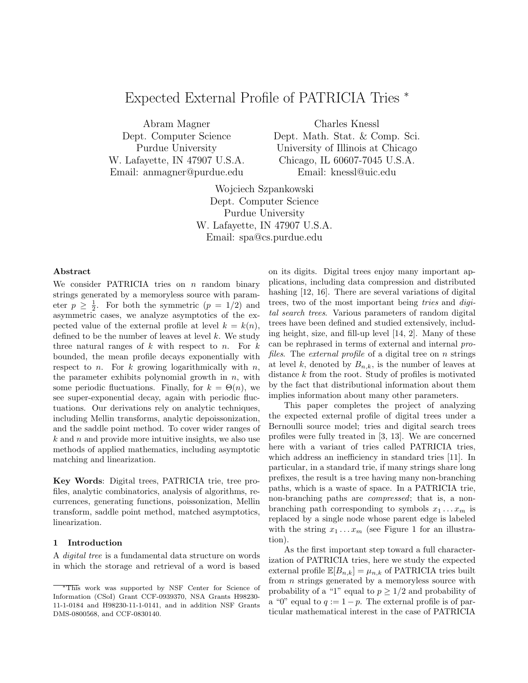# Expected External Profile of PATRICIA Tries <sup>∗</sup>

Abram Magner Dept. Computer Science Purdue University W. Lafayette, IN 47907 U.S.A. Email: anmagner@purdue.edu

Charles Knessl Dept. Math. Stat. & Comp. Sci. University of Illinois at Chicago Chicago, IL 60607-7045 U.S.A. Email: knessl@uic.edu

Wojciech Szpankowski Dept. Computer Science Purdue University W. Lafayette, IN 47907 U.S.A. Email: spa@cs.purdue.edu

## Abstract

We consider PATRICIA tries on  $n$  random binary strings generated by a memoryless source with parameter  $p \geq \frac{1}{2}$ . For both the symmetric  $(p = 1/2)$  and asymmetric cases, we analyze asymptotics of the expected value of the external profile at level  $k = k(n)$ , defined to be the number of leaves at level  $k$ . We study three natural ranges of  $k$  with respect to  $n$ . For  $k$ bounded, the mean profile decays exponentially with respect to n. For k growing logarithmically with  $n$ , the parameter exhibits polynomial growth in  $n$ , with some periodic fluctuations. Finally, for  $k = \Theta(n)$ , we see super-exponential decay, again with periodic fluctuations. Our derivations rely on analytic techniques, including Mellin transforms, analytic depoissonization, and the saddle point method. To cover wider ranges of  $k$  and n and provide more intuitive insights, we also use methods of applied mathematics, including asymptotic matching and linearization.

Key Words: Digital trees, PATRICIA trie, tree profiles, analytic combinatorics, analysis of algorithms, recurrences, generating functions, poissonization, Mellin transform, saddle point method, matched asymptotics, linearization.

### 1 Introduction

A digital tree is a fundamental data structure on words in which the storage and retrieval of a word is based on its digits. Digital trees enjoy many important applications, including data compression and distributed hashing [12, 16]. There are several variations of digital trees, two of the most important being tries and digital search trees. Various parameters of random digital trees have been defined and studied extensively, including height, size, and fill-up level [14, 2]. Many of these can be rephrased in terms of external and internal profiles. The external profile of a digital tree on n strings at level k, denoted by  $B_{n,k}$ , is the number of leaves at distance k from the root. Study of profiles is motivated by the fact that distributional information about them implies information about many other parameters.

This paper completes the project of analyzing the expected external profile of digital trees under a Bernoulli source model; tries and digital search trees profiles were fully treated in [3, 13]. We are concerned here with a variant of tries called PATRICIA tries, which address an inefficiency in standard tries [11]. In particular, in a standard trie, if many strings share long prefixes, the result is a tree having many non-branching paths, which is a waste of space. In a PATRICIA trie, non-branching paths are compressed; that is, a nonbranching path corresponding to symbols  $x_1 \ldots x_m$  is replaced by a single node whose parent edge is labeled with the string  $x_1 \ldots x_m$  (see Figure 1 for an illustration).

As the first important step toward a full characterization of PATRICIA tries, here we study the expected external profile  $\mathbb{E}[B_{n,k}] = \mu_{n,k}$  of PATRICIA tries built from  $n$  strings generated by a memoryless source with probability of a "1" equal to  $p \geq 1/2$  and probability of a "0" equal to  $q := 1 - p$ . The external profile is of particular mathematical interest in the case of PATRICIA

This work was supported by NSF Center for Science of Information (CSoI) Grant CCF-0939370, NSA Grants H98230- 11-1-0184 and H98230-11-1-0141, and in addition NSF Grants DMS-0800568, and CCF-0830140.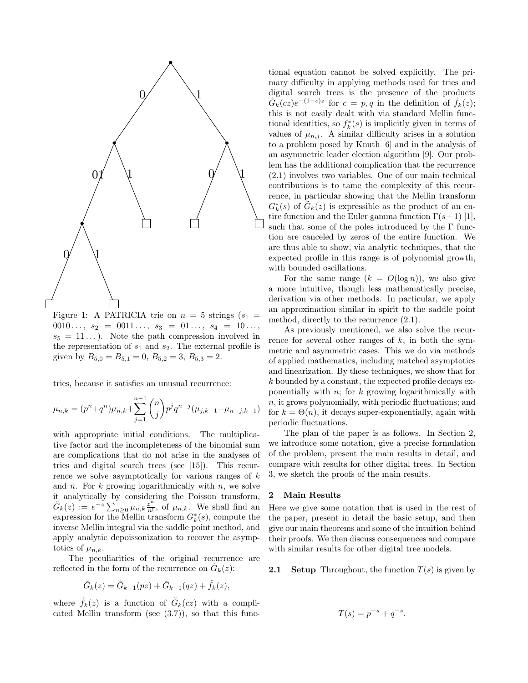

Figure 1: A PATRICIA trie on  $n = 5$  strings  $(s_1 =$  $0010 \ldots, s_2 = 0011 \ldots, s_3 = 01 \ldots, s_4 = 10 \ldots,$  $s_5 = 11...$ ). Note the path compression involved in the representation of  $s_1$  and  $s_2$ . The external profile is given by  $B_{5,0} = B_{5,1} = 0$ ,  $B_{5,2} = 3$ ,  $B_{5,3} = 2$ .

tries, because it satisfies an unusual recurrence:

$$
\mu_{n,k} = (p^n + q^n)\mu_{n,k} + \sum_{j=1}^{n-1} \binom{n}{j} p^j q^{n-j} (\mu_{j,k-1} + \mu_{n-j,k-1})
$$

with appropriate initial conditions. The multiplicative factor and the incompleteness of the binomial sum are complications that do not arise in the analyses of tries and digital search trees (see [15]). This recurrence we solve asymptotically for various ranges of  $k$ and n. For  $k$  growing logarithmically with n, we solve it analytically by considering the Poisson transform,  $\tilde{G}_k(z) := e^{-z} \sum_{n=0}^{s} \mu_{n,k} \frac{z^n}{n!}$  $\frac{z^n}{n!}$ , of  $\mu_{n,k}$ . We shall find an expression for the Mellin transform  $G_k^*(s)$ , compute the inverse Mellin integral via the saddle point method, and apply analytic depoissonization to recover the asymptotics of  $\mu_{n,k}$ .

The peculiarities of the original recurrence are reflected in the form of the recurrence on  $\tilde{G}_k(z)$ :

$$
\tilde{G}_k(z) = \tilde{G}_{k-1}(pz) + \tilde{G}_{k-1}(qz) + \tilde{f}_k(z),
$$

where  $\tilde{f}_k(z)$  is a function of  $\tilde{G}_k(cz)$  with a complicated Mellin transform (see (3.7)), so that this func-

tional equation cannot be solved explicitly. The primary difficulty in applying methods used for tries and digital search trees is the presence of the products  $\tilde{G}_k(cz)e^{-(1-c)z}$  for  $c = p, q$  in the definition of  $\tilde{f}_k(z)$ ; this is not easily dealt with via standard Mellin functional identities, so  $f_k^*(s)$  is implicitly given in terms of values of  $\mu_{n,j}$ . A similar difficulty arises in a solution to a problem posed by Knuth [6] and in the analysis of an asymmetric leader election algorithm [9]. Our problem has the additional complication that the recurrence (2.1) involves two variables. One of our main technical contributions is to tame the complexity of this recurrence, in particular showing that the Mellin transform  $G_k^*(s)$  of  $\tilde{G}_k(z)$  is expressible as the product of an entire function and the Euler gamma function  $\Gamma(s+1)$  [1], such that some of the poles introduced by the  $\Gamma$  function are canceled by zeros of the entire function. We are thus able to show, via analytic techniques, that the expected profile in this range is of polynomial growth, with bounded oscillations.

For the same range  $(k = O(\log n))$ , we also give a more intuitive, though less mathematically precise, derivation via other methods. In particular, we apply an approximation similar in spirit to the saddle point method, directly to the recurrence (2.1).

As previously mentioned, we also solve the recurrence for several other ranges of  $k$ , in both the symmetric and asymmetric cases. This we do via methods of applied mathematics, including matched asymptotics and linearization. By these techniques, we show that for k bounded by a constant, the expected profile decays exponentially with  $n$ ; for  $k$  growing logarithmically with n, it grows polynomially, with periodic fluctuations; and for  $k = \Theta(n)$ , it decays super-exponentially, again with periodic fluctuations.

The plan of the paper is as follows. In Section 2, we introduce some notation, give a precise formulation of the problem, present the main results in detail, and compare with results for other digital trees. In Section 3, we sketch the proofs of the main results.

### 2 Main Results

Here we give some notation that is used in the rest of the paper, present in detail the basic setup, and then give our main theorems and some of the intuition behind their proofs. We then discuss consequences and compare with similar results for other digital tree models.

**2.1** Setup Throughout, the function  $T(s)$  is given by

$$
T(s) = p^{-s} + q^{-s}.
$$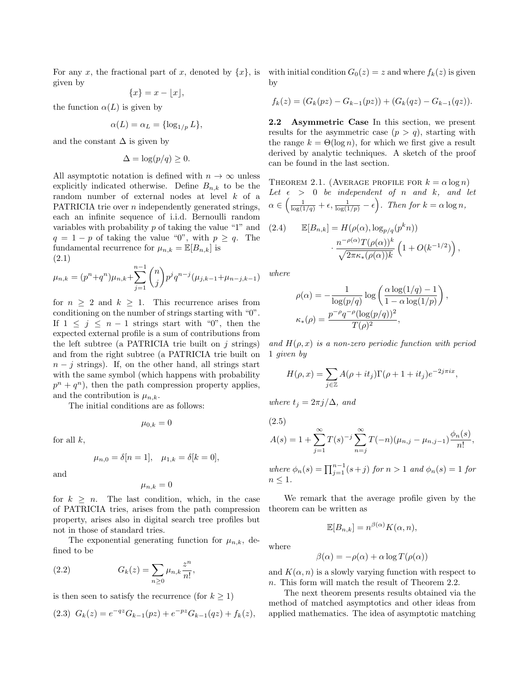For any x, the fractional part of x, denoted by  $\{x\}$ , is with initial condition  $G_0(z) = z$  and where  $f_k(z)$  is given given by

$$
\{x\} = x - \lfloor x \rfloor,
$$

the function  $\alpha(L)$  is given by

$$
\alpha(L) = \alpha_L = \{\log_{1/p} L\},\
$$

and the constant  $\Delta$  is given by

$$
\Delta = \log(p/q) \ge 0.
$$

All asymptotic notation is defined with  $n \to \infty$  unless explicitly indicated otherwise. Define  $B_{n,k}$  to be the random number of external nodes at level k of a PATRICIA trie over n independently generated strings, each an infinite sequence of i.i.d. Bernoulli random variables with probability  $p$  of taking the value "1" and  $q = 1 - p$  of taking the value "0", with  $p \ge q$ . The fundamental recurrence for  $\mu_{n,k} = \mathbb{E}[B_{n,k}]$  is (2.1)

$$
\mu_{n,k} = (p^n + q^n)\mu_{n,k} + \sum_{j=1}^{n-1} \binom{n}{j} p^j q^{n-j} (\mu_{j,k-1} + \mu_{n-j,k-1})
$$

for  $n \geq 2$  and  $k \geq 1$ . This recurrence arises from conditioning on the number of strings starting with "0". If  $1 \leq j \leq n-1$  strings start with "0", then the expected external profile is a sum of contributions from the left subtree (a PATRICIA trie built on  $i$  strings) and from the right subtree (a PATRICIA trie built on  $n - j$  strings). If, on the other hand, all strings start with the same symbol (which happens with probability  $p^{n} + q^{n}$ , then the path compression property applies, and the contribution is  $\mu_{n,k}$ .

The initial conditions are as follows:

$$
\mu_{0,k}=0
$$

for all  $k$ ,

$$
\mu_{n,0} = \delta[n=1], \quad \mu_{1,k} = \delta[k=0],
$$

and

$$
\mu_{n,k}=0
$$

for  $k > n$ . The last condition, which, in the case of PATRICIA tries, arises from the path compression property, arises also in digital search tree profiles but not in those of standard tries.

The exponential generating function for  $\mu_{n,k}$ , defined to be

(2.2) 
$$
G_k(z) = \sum_{n\geq 0} \mu_{n,k} \frac{z^n}{n!},
$$

is then seen to satisfy the recurrence (for  $k \geq 1$ )

$$
(2.3) \ \ G_k(z) = e^{-qz} G_{k-1}(pz) + e^{-pz} G_{k-1}(qz) + f_k(z),
$$

by

$$
f_k(z) = (G_k(pz) - G_{k-1}(pz)) + (G_k(qz) - G_{k-1}(qz)).
$$

2.2 Asymmetric Case In this section, we present results for the asymmetric case  $(p > q)$ , starting with the range  $k = \Theta(\log n)$ , for which we first give a result derived by analytic techniques. A sketch of the proof can be found in the last section.

THEOREM 2.1. (AVERAGE PROFILE FOR  $k = \alpha \log n$ ) Let  $\epsilon$  > 0 be independent of n and k, and let  $\alpha \in \left(\frac{1}{\log(1/q)} + \epsilon, \frac{1}{\log(1/p)} - \epsilon\right)$ . Then for  $k = \alpha \log n$ ,

(2.4) 
$$
\mathbb{E}[B_{n,k}] = H(\rho(\alpha), \log_{p/q}(p^k n))
$$

$$
\cdot \frac{n^{-\rho(\alpha)}T(\rho(\alpha))^k}{\sqrt{2\pi\kappa_*(\rho(\alpha))k}} \left(1 + O(k^{-1/2})\right),
$$

where

$$
\rho(\alpha) = -\frac{1}{\log(p/q)} \log\left(\frac{\alpha \log(1/q) - 1}{1 - \alpha \log(1/p)}\right)
$$

$$
\kappa_*(\rho) = \frac{p^{-\rho}q^{-\rho}(\log(p/q))^2}{T(\rho)^2},
$$

,

and  $H(\rho, x)$  is a non-zero periodic function with period 1 given by

$$
H(\rho, x) = \sum_{j \in \mathbb{Z}} A(\rho + it_j) \Gamma(\rho + 1 + it_j) e^{-2j\pi ix},
$$

where  $t_j = 2\pi j/\Delta$ , and

(2.5)  
\n
$$
A(s) = 1 + \sum_{j=1}^{\infty} T(s)^{-j} \sum_{n=j}^{\infty} T(-n) (\mu_{n,j} - \mu_{n,j-1}) \frac{\phi_n(s)}{n!},
$$

where  $\phi_n(s) = \prod_{j=1}^{n-1} (s+j)$  for  $n > 1$  and  $\phi_n(s) = 1$  for  $n \leq 1$ .

We remark that the average profile given by the theorem can be written as

 $\mathbb{E}[B_{n,k}] = n^{\beta(\alpha)}K(\alpha,n),$ 

where

$$
\beta(\alpha) = -\rho(\alpha) + \alpha \log T(\rho(\alpha))
$$

and  $K(\alpha, n)$  is a slowly varying function with respect to n. This form will match the result of Theorem 2.2.

The next theorem presents results obtained via the method of matched asymptotics and other ideas from applied mathematics. The idea of asymptotic matching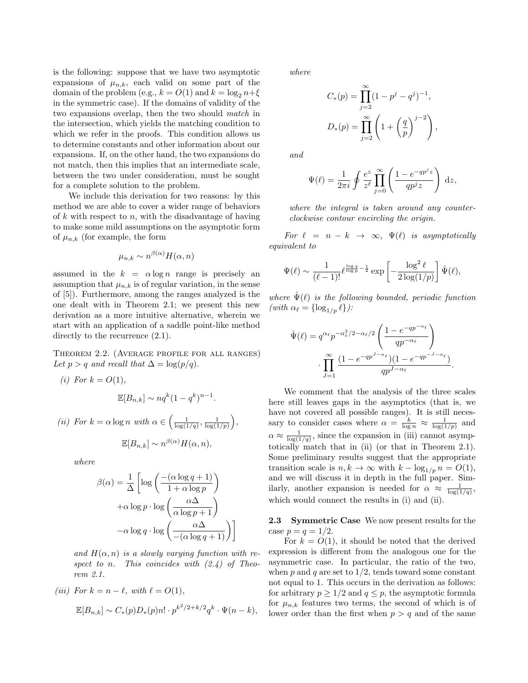is the following: suppose that we have two asymptotic expansions of  $\mu_{n,k}$ , each valid on some part of the domain of the problem (e.g.,  $k = O(1)$  and  $k = \log_2 n + \xi$ in the symmetric case). If the domains of validity of the two expansions overlap, then the two should match in the intersection, which yields the matching condition to which we refer in the proofs. This condition allows us to determine constants and other information about our expansions. If, on the other hand, the two expansions do not match, then this implies that an intermediate scale, between the two under consideration, must be sought for a complete solution to the problem.

We include this derivation for two reasons: by this method we are able to cover a wider range of behaviors of k with respect to n, with the disadvantage of having to make some mild assumptions on the asymptotic form of  $\mu_{n,k}$  (for example, the form

$$
\mu_{n,k} \sim n^{\beta(\alpha)} H(\alpha, n)
$$

assumed in the  $k = \alpha \log n$  range is precisely an assumption that  $\mu_{n,k}$  is of regular variation, in the sense of [5]). Furthermore, among the ranges analyzed is the one dealt with in Theorem 2.1; we present this new derivation as a more intuitive alternative, wherein we start with an application of a saddle point-like method directly to the recurrence  $(2.1)$ .

Theorem 2.2. (Average profile for all ranges) Let  $p > q$  and recall that  $\Delta = \log(p/q)$ .

(i) For 
$$
k = O(1)
$$
,

$$
\mathbb{E}[B_{n,k}] \sim nq^k(1-q^k)^{n-1}.
$$

(ii) For  $k = \alpha \log n$  with  $\alpha \in \left(\frac{1}{\log(1/q)}, \frac{1}{\log(1/p)}\right)$ ,  $\mathbb{E}[B_{n,k}] \sim n^{\beta(\alpha)} H(\alpha, n),$ 

where

$$
\beta(\alpha) = \frac{1}{\Delta} \left[ \log \left( \frac{-(\alpha \log q + 1)}{1 + \alpha \log p} \right) + \alpha \log p \cdot \log \left( \frac{\alpha \Delta}{\alpha \log p + 1} \right) - \alpha \log q \cdot \log \left( \frac{\alpha \Delta}{-(\alpha \log q + 1)} \right) \right]
$$

and  $H(\alpha, n)$  is a slowly varying function with respect to n. This coincides with  $(2.4)$  of Theorem 2.1.

(iii) For 
$$
k = n - \ell
$$
, with  $\ell = O(1)$ ,  
\n
$$
\mathbb{E}[B_{n,k}] \sim C_*(p)D_*(p)n! \cdot p^{k^2/2 + k/2}q^k \cdot \Psi(n-k),
$$

where

$$
C_*(p) = \prod_{j=2}^{\infty} (1 - p^j - q^j)^{-1},
$$
  

$$
D_*(p) = \prod_{j=2}^{\infty} \left(1 + \left(\frac{q}{p}\right)^{j-2}\right)
$$

,

.

and

$$
\Psi(\ell) = \frac{1}{2\pi i} \oint \frac{e^z}{z^{\ell}} \prod_{j=0}^{\infty} \left( \frac{1 - e^{-qp^j z}}{qp^j z} \right) dz,
$$

where the integral is taken around any counterclockwise contour encircling the origin.

For  $\ell = n - k \rightarrow \infty$ ,  $\Psi(\ell)$  is asymptotically equivalent to

$$
\Psi(\ell) \sim \frac{1}{(\ell-1)!} \ell^{\frac{\log q}{\log p} - \frac{1}{2}} \exp\left[-\frac{\log^2 \ell}{2\log(1/p)}\right] \hat{\Psi}(\ell),
$$

where  $\Psi(\ell)$  is the following bounded, periodic function (with  $\alpha_{\ell} = \{\log_{1/p} {\ell}\}\$ :

$$
\hat{\Psi}(\ell) = q^{\alpha_{\ell}} p^{-\alpha_{\ell}^{2}/2 - \alpha_{\ell}/2} \left( \frac{1 - e^{-q p^{-\alpha_{\ell}}}}{q p^{-\alpha_{\ell}}} \right)
$$

$$
\cdot \prod_{J=1}^{\infty} \frac{(1 - e^{-q p^{J-\alpha_{\ell}}})(1 - e^{-q p^{-J-\alpha_{\ell}}})}{q p^{J-\alpha_{\ell}}}
$$

We comment that the analysis of the three scales here still leaves gaps in the asymptotics (that is, we have not covered all possible ranges). It is still necessary to consider cases where  $\alpha = \frac{k}{\log n} \approx \frac{1}{\log(1/p)}$  and  $\alpha \approx \frac{1}{\log(1/q)}$ , since the expansion in (iii) cannot asymptotically match that in (ii) (or that in Theorem 2.1). Some preliminary results suggest that the appropriate transition scale is  $n, k \to \infty$  with  $k - \log_{1/p} n = O(1)$ , and we will discuss it in depth in the full paper. Similarly, another expansion is needed for  $\alpha \approx \frac{1}{\log(1/q)}$ , which would connect the results in (i) and (ii).

2.3 Symmetric Case We now present results for the case  $p = q = 1/2$ .

For  $k = O(1)$ , it should be noted that the derived expression is different from the analogous one for the asymmetric case. In particular, the ratio of the two, when  $p$  and  $q$  are set to  $1/2$ , tends toward some constant not equal to 1. This occurs in the derivation as follows: for arbitrary  $p \geq 1/2$  and  $q \leq p$ , the asymptotic formula for  $\mu_{n,k}$  features two terms, the second of which is of lower order than the first when  $p > q$  and of the same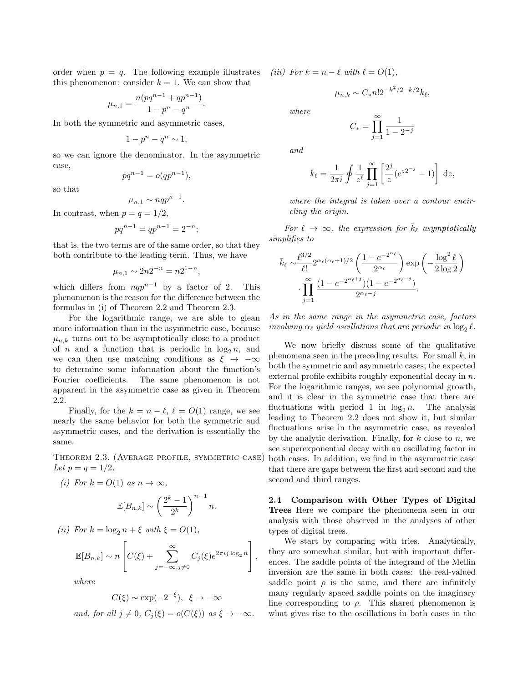order when  $p = q$ . The following example illustrates this phenomenon: consider  $k = 1$ . We can show that

$$
\mu_{n,1}=\frac{n(pq^{n-1}+qp^{n-1})}{1-p^n-q^n}.
$$

In both the symmetric and asymmetric cases,

$$
1 - p^n - q^n \sim 1,
$$

so we can ignore the denominator. In the asymmetric case,

$$
pq^{n-1} = o(qp^{n-1}),
$$

so that

$$
\mu_{n,1} \sim nqp^{n-1}.
$$

In contrast, when  $p = q = 1/2$ ,

$$
pq^{n-1} = qp^{n-1} = 2^{-n};
$$

that is, the two terms are of the same order, so that they both contribute to the leading term. Thus, we have

$$
\mu_{n,1} \sim 2n2^{-n} = n2^{1-n}
$$

,

which differs from  $nqp^{n-1}$  by a factor of 2. This phenomenon is the reason for the difference between the formulas in (i) of Theorem 2.2 and Theorem 2.3.

For the logarithmic range, we are able to glean more information than in the asymmetric case, because  $\mu_{n,k}$  turns out to be asymptotically close to a product of n and a function that is periodic in  $\log_2 n$ , and we can then use matching conditions as  $\xi \rightarrow -\infty$ to determine some information about the function's Fourier coefficients. The same phenomenon is not apparent in the asymmetric case as given in Theorem 2.2.

Finally, for the  $k = n - \ell, \ell = O(1)$  range, we see nearly the same behavior for both the symmetric and asymmetric cases, and the derivation is essentially the same.

Theorem 2.3. (Average profile, symmetric case) Let  $p = q = 1/2$ .

(i) For 
$$
k = O(1)
$$
 as  $n \to \infty$ ,  

$$
\mathbb{E}[B_{n,k}] \sim \left(\frac{2^k - 1}{2^k}\right)^{n-1} n.
$$

(ii) For 
$$
k = \log_2 n + \xi
$$
 with  $\xi = O(1)$ ,

$$
\mathbb{E}[B_{n,k}] \sim n \left[ C(\xi) + \sum_{j=-\infty, j\neq 0}^{\infty} C_j(\xi) e^{2\pi i j \log_2 n} \right],
$$

 $2^k$ 

where

$$
C(\xi) \sim \exp(-2^{-\xi}), \ \xi \to -\infty
$$

and, for all  $j \neq 0$ ,  $C_i(\xi) = o(C(\xi))$  as  $\xi \to -\infty$ .

(iii) For  $k = n - \ell$  with  $\ell = O(1)$ ,

$$
\mu_{n,k} \sim C_* n! 2^{-k^2/2 - k/2} \bar{k}_{\ell},
$$

where

$$
C_* = \prod_{j=1}^{\infty} \frac{1}{1 - 2^{-j}}
$$

and

$$
\bar{k}_{\ell} = \frac{1}{2\pi i} \oint \frac{1}{z^{\ell}} \prod_{j=1}^{\infty} \left[ \frac{2^j}{z} (e^{z^2} - 1) \right] dz,
$$

where the integral is taken over a contour encircling the origin.

For  $\ell \to \infty$ , the expression for  $\bar{k}_\ell$  asymptotically simplifies to

$$
\bar{k}_{\ell} \sim \frac{\ell^{3/2}}{\ell!} 2^{\alpha_{\ell}(\alpha_{\ell}+1)/2} \left( \frac{1 - e^{-2^{\alpha_{\ell}}}}{2^{\alpha_{\ell}}} \right) \exp\left( -\frac{\log^2 \ell}{2 \log 2} \right)
$$

$$
\cdot \prod_{j=1}^{\infty} \frac{(1 - e^{-2^{\alpha_{\ell}+j}})(1 - e^{-2^{\alpha_{\ell}-j}})}{2^{\alpha_{\ell}-j}}.
$$

As in the same range in the asymmetric case, factors involving  $\alpha_{\ell}$  yield oscillations that are periodic in  $\log_2 \ell$ .

We now briefly discuss some of the qualitative phenomena seen in the preceding results. For small  $k$ , in both the symmetric and asymmetric cases, the expected external profile exhibits roughly exponential decay in n. For the logarithmic ranges, we see polynomial growth, and it is clear in the symmetric case that there are fluctuations with period 1 in  $\log_2 n$ . The analysis leading to Theorem 2.2 does not show it, but similar fluctuations arise in the asymmetric case, as revealed by the analytic derivation. Finally, for  $k$  close to  $n$ , we see superexponential decay with an oscillating factor in both cases. In addition, we find in the asymmetric case that there are gaps between the first and second and the second and third ranges.

2.4 Comparison with Other Types of Digital Trees Here we compare the phenomena seen in our analysis with those observed in the analyses of other types of digital trees.

We start by comparing with tries. Analytically, they are somewhat similar, but with important differences. The saddle points of the integrand of the Mellin inversion are the same in both cases: the real-valued saddle point  $\rho$  is the same, and there are infinitely many regularly spaced saddle points on the imaginary line corresponding to  $\rho$ . This shared phenomenon is what gives rise to the oscillations in both cases in the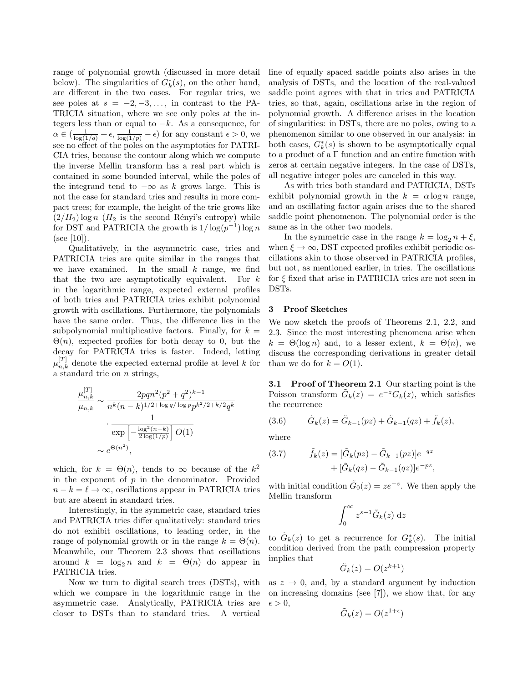range of polynomial growth (discussed in more detail below). The singularities of  $G_k^*(s)$ , on the other hand, are different in the two cases. For regular tries, we see poles at  $s = -2, -3, \ldots$ , in contrast to the PA-TRICIA situation, where we see only poles at the integers less than or equal to  $-k$ . As a consequence, for  $\alpha \in (\frac{1}{\log(1/q)} + \epsilon, \frac{1}{\log(1/p)} - \epsilon)$  for any constant  $\epsilon > 0$ , we see no effect of the poles on the asymptotics for PATRI-CIA tries, because the contour along which we compute the inverse Mellin transform has a real part which is contained in some bounded interval, while the poles of the integrand tend to  $-\infty$  as k grows large. This is not the case for standard tries and results in more compact trees; for example, the height of the trie grows like  $(2/H_2)$  log n  $(H_2)$  is the second Rényi's entropy) while for DST and PATRICIA the growth is  $1/\log(p^{-1})\log n$ (see [10]).

Qualitatively, in the asymmetric case, tries and PATRICIA tries are quite similar in the ranges that we have examined. In the small  $k$  range, we find that the two are asymptotically equivalent. For  $k$ in the logarithmic range, expected external profiles of both tries and PATRICIA tries exhibit polynomial growth with oscillations. Furthermore, the polynomials have the same order. Thus, the difference lies in the subpolynomial multiplicative factors. Finally, for  $k =$  $\Theta(n)$ , expected profiles for both decay to 0, but the decay for PATRICIA tries is faster. Indeed, letting  $\mu_{n,k}^{[T]}$  denote the expected external profile at level k for a standard trie on n strings,

$$
\frac{\mu_{n,k}^{[T]}}{\mu_{n,k}} \sim \frac{2pqn^2(p^2+q^2)^{k-1}}{n^k(n-k)^{1/2+\log q/\log p} p^{k^2/2+k/2} q^k}
$$

$$
\cdot \frac{1}{\exp\left[-\frac{\log^2(n-k)}{2\log(1/p)}\right] O(1)}
$$

$$
\sim e^{\Theta(n^2)},
$$

which, for  $k = \Theta(n)$ , tends to  $\infty$  because of the  $k^2$ in the exponent of  $p$  in the denominator. Provided  $n - k = \ell \rightarrow \infty$ , oscillations appear in PATRICIA tries but are absent in standard tries.

Interestingly, in the symmetric case, standard tries and PATRICIA tries differ qualitatively: standard tries do not exhibit oscillations, to leading order, in the range of polynomial growth or in the range  $k = \Theta(n)$ . Meanwhile, our Theorem 2.3 shows that oscillations around  $k = \log_2 n$  and  $k = \Theta(n)$  do appear in PATRICIA tries.

Now we turn to digital search trees (DSTs), with which we compare in the logarithmic range in the asymmetric case. Analytically, PATRICIA tries are closer to DSTs than to standard tries. A vertical

line of equally spaced saddle points also arises in the analysis of DSTs, and the location of the real-valued saddle point agrees with that in tries and PATRICIA tries, so that, again, oscillations arise in the region of polynomial growth. A difference arises in the location of singularities: in DSTs, there are no poles, owing to a phenomenon similar to one observed in our analysis: in both cases,  $G_k^*(s)$  is shown to be asymptotically equal to a product of a Γ function and an entire function with zeros at certain negative integers. In the case of DSTs, all negative integer poles are canceled in this way.

As with tries both standard and PATRICIA, DSTs exhibit polynomial growth in the  $k = \alpha \log n$  range, and an oscillating factor again arises due to the shared saddle point phenomenon. The polynomial order is the same as in the other two models.

In the symmetric case in the range  $k = \log_2 n + \xi$ , when  $\xi \to \infty$ , DST expected profiles exhibit periodic oscillations akin to those observed in PATRICIA profiles, but not, as mentioned earlier, in tries. The oscillations for  $\xi$  fixed that arise in PATRICIA tries are not seen in DSTs.

#### 3 Proof Sketches

We now sketch the proofs of Theorems 2.1, 2.2, and 2.3. Since the most interesting phenomena arise when  $k = \Theta(\log n)$  and, to a lesser extent,  $k = \Theta(n)$ , we discuss the corresponding derivations in greater detail than we do for  $k = O(1)$ .

3.1 Proof of Theorem 2.1 Our starting point is the Poisson transform  $\tilde{G}_k(z) = e^{-z} G_k(z)$ , which satisfies the recurrence

(3.6) 
$$
\tilde{G}_k(z) = \tilde{G}_{k-1}(pz) + \tilde{G}_{k-1}(qz) + \tilde{f}_k(z),
$$

where

(3.7) 
$$
\tilde{f}_k(z) = [\tilde{G}_k(pz) - \tilde{G}_{k-1}(pz)]e^{-qz} + [\tilde{G}_k(qz) - \tilde{G}_{k-1}(qz)]e^{-pz},
$$

with initial condition  $\tilde{G}_0(z) = ze^{-z}$ . We then apply the Mellin transform

$$
\int_0^\infty z^{s-1} \tilde{G}_k(z) \, \mathrm{d}z
$$

to  $\tilde{G}_k(z)$  to get a recurrence for  $G_k^*(s)$ . The initial condition derived from the path compression property implies that

$$
\tilde{G}_k(z) = O(z^{k+1})
$$

as  $z \rightarrow 0$ , and, by a standard argument by induction on increasing domains (see [7]), we show that, for any  $\epsilon > 0$ ,

$$
\tilde{G}_k(z) = O(z^{1+\epsilon})
$$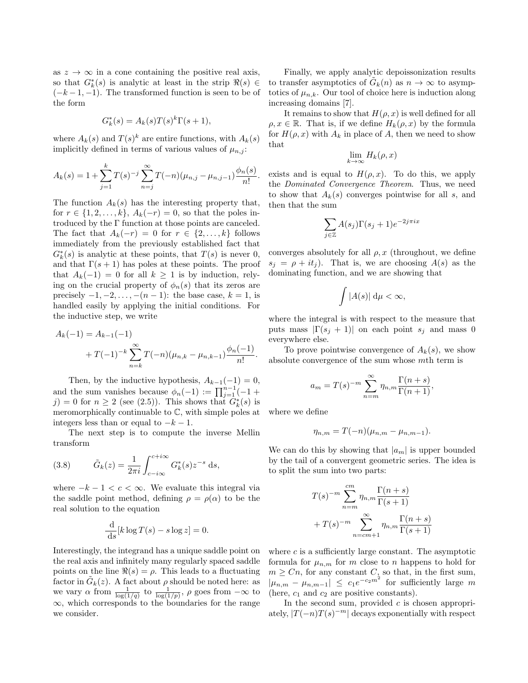as  $z \to \infty$  in a cone containing the positive real axis, so that  $G_k^*(s)$  is analytic at least in the strip  $\Re(s) \in$  $(-k-1,-1)$ . The transformed function is seen to be of the form

$$
G_k^*(s) = A_k(s)T(s)^k \Gamma(s+1),
$$

where  $A_k(s)$  and  $T(s)^k$  are entire functions, with  $A_k(s)$ implicitly defined in terms of various values of  $\mu_{n,j}$ :

$$
A_k(s) = 1 + \sum_{j=1}^k T(s)^{-j} \sum_{n=j}^{\infty} T(-n) (\mu_{n,j} - \mu_{n,j-1}) \frac{\phi_n(s)}{n!}.
$$

The function  $A_k(s)$  has the interesting property that, for  $r \in \{1, 2, ..., k\}, A_k(-r) = 0$ , so that the poles introduced by the  $\Gamma$  function at those points are canceled. The fact that  $A_k(-r) = 0$  for  $r \in \{2, ..., k\}$  follows immediately from the previously established fact that  $G<sub>k</sub><sup>*</sup>(s)$  is analytic at these points, that  $T(s)$  is never 0, and that  $\Gamma(s+1)$  has poles at these points. The proof that  $A_k(-1) = 0$  for all  $k \ge 1$  is by induction, relying on the crucial property of  $\phi_n(s)$  that its zeros are precisely  $-1, -2, \ldots, -(n-1)$ : the base case,  $k = 1$ , is handled easily by applying the initial conditions. For the inductive step, we write

$$
A_k(-1) = A_{k-1}(-1)
$$
  
+  $T(-1)^{-k} \sum_{n=k}^{\infty} T(-n) (\mu_{n,k} - \mu_{n,k-1}) \frac{\phi_n(-1)}{n!}.$ 

Then, by the inductive hypothesis,  $A_{k-1}(-1) = 0$ , and the sum vanishes because  $\phi_n(-1) := \prod_{j=1}^{n-1}(-1 +$ j) = 0 for  $n \ge 2$  (see (2.5)). This shows that  $G_k^*(s)$  is meromorphically continuable to  $\mathbb{C}$ , with simple poles at integers less than or equal to  $-k-1$ .

The next step is to compute the inverse Mellin transform

(3.8) 
$$
\tilde{G}_k(z) = \frac{1}{2\pi i} \int_{c-i\infty}^{c+i\infty} G_k^*(s) z^{-s} ds,
$$

where  $-k-1 < c < \infty$ . We evaluate this integral via the saddle point method, defining  $\rho = \rho(\alpha)$  to be the real solution to the equation

$$
\frac{\mathrm{d}}{\mathrm{d}s}[k\log T(s) - s\log z] = 0.
$$

Interestingly, the integrand has a unique saddle point on the real axis and infinitely many regularly spaced saddle points on the line  $\Re(s) = \rho$ . This leads to a fluctuating factor in  $\tilde{G}_k(z)$ . A fact about  $\rho$  should be noted here: as we vary  $\alpha$  from  $\frac{1}{\log(1/q)}$  to  $\frac{1}{\log(1/p)}$ ,  $\rho$  goes from  $-\infty$  to ∞, which corresponds to the boundaries for the range we consider.

Finally, we apply analytic depoissonization results to transfer asymptotics of  $\tilde{G}_k(n)$  as  $n \to \infty$  to asymptotics of  $\mu_{n,k}$ . Our tool of choice here is induction along increasing domains [7].

It remains to show that  $H(\rho, x)$  is well defined for all  $\rho, x \in \mathbb{R}$ . That is, if we define  $H_k(\rho, x)$  by the formula for  $H(\rho, x)$  with  $A_k$  in place of A, then we need to show that

$$
\lim_{k \to \infty} H_k(\rho, x)
$$

exists and is equal to  $H(\rho, x)$ . To do this, we apply the Dominated Convergence Theorem. Thus, we need to show that  $A_k(s)$  converges pointwise for all s, and then that the sum

$$
\sum_{j\in\mathbb{Z}}A(s_j)\Gamma(s_j+1)e^{-2j\pi ix}
$$

converges absolutely for all  $\rho$ , x (throughout, we define  $s_i = \rho + it_i$ ). That is, we are choosing  $A(s)$  as the dominating function, and we are showing that

$$
\int |A(s)| \, \mathrm{d}\mu < \infty,
$$

where the integral is with respect to the measure that puts mass  $|\Gamma(s_i + 1)|$  on each point  $s_i$  and mass 0 everywhere else.

To prove pointwise convergence of  $A_k(s)$ , we show absolute convergence of the sum whose mth term is

$$
a_m = T(s)^{-m} \sum_{n=m}^{\infty} \eta_{n,m} \frac{\Gamma(n+s)}{\Gamma(n+1)},
$$

where we define

$$
\eta_{n,m} = T(-n)(\mu_{n,m} - \mu_{n,m-1}).
$$

We can do this by showing that  $|a_m|$  is upper bounded by the tail of a convergent geometric series. The idea is to split the sum into two parts:

$$
T(s)^{-m} \sum_{n=m}^{cm} \eta_{n,m} \frac{\Gamma(n+s)}{\Gamma(s+1)}
$$
  
+
$$
T(s)^{-m} \sum_{n=cm+1}^{\infty} \eta_{n,m} \frac{\Gamma(n+s)}{\Gamma(s+1)}
$$

where  $c$  is a sufficiently large constant. The asymptotic formula for  $\mu_{n,m}$  for m close to n happens to hold for  $m \geq Cn$ , for any constant  $C$ , so that, in the first sum,  $|\mu_{n,m} - \mu_{n,m-1}| \leq c_1 e^{-c_2 m^2}$  for sufficiently large m (here,  $c_1$  and  $c_2$  are positive constants).

In the second sum, provided  $c$  is chosen appropriately,  $|T(-n)T(s)^{-m}|$  decays exponentially with respect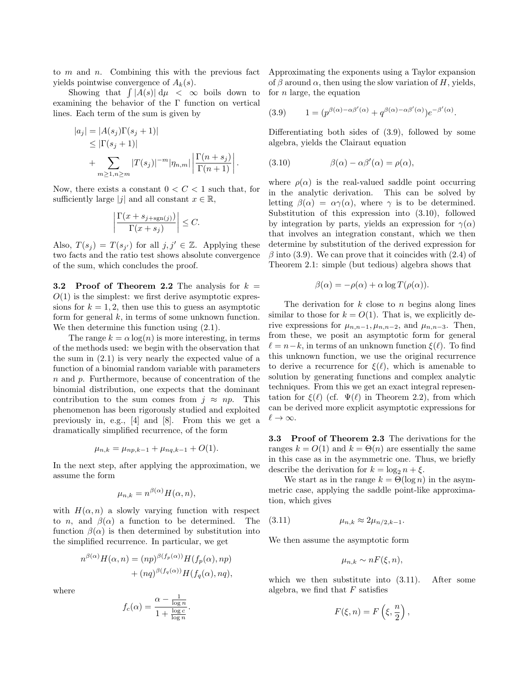to  $m$  and  $n$ . Combining this with the previous fact yields pointwise convergence of  $A_k(s)$ .

Showing that  $\int |A(s)| d\mu < \infty$  boils down to examining the behavior of the  $\Gamma$  function on vertical lines. Each term of the sum is given by

$$
|a_j| = |A(s_j)\Gamma(s_j + 1)|
$$
  
\n
$$
\leq |\Gamma(s_j + 1)|
$$
  
\n
$$
+ \sum_{m \geq 1, n \geq m} |T(s_j)|^{-m} |\eta_{n,m}| \left| \frac{\Gamma(n+s_j)}{\Gamma(n+1)} \right|.
$$

Now, there exists a constant  $0 < C < 1$  such that, for sufficiently large |j| and all constant  $x \in \mathbb{R}$ ,

$$
\left| \frac{\Gamma(x + s_{j + \text{sgn}(j)})}{\Gamma(x + s_j)} \right| \le C.
$$

Also,  $T(s_j) = T(s_{j'})$  for all  $j, j' \in \mathbb{Z}$ . Applying these two facts and the ratio test shows absolute convergence of the sum, which concludes the proof.

**3.2** Proof of Theorem 2.2 The analysis for  $k =$  $O(1)$  is the simplest: we first derive asymptotic expressions for  $k = 1, 2$ , then use this to guess an asymptotic form for general  $k$ , in terms of some unknown function. We then determine this function using  $(2.1)$ .

The range  $k = \alpha \log(n)$  is more interesting, in terms of the methods used: we begin with the observation that the sum in (2.1) is very nearly the expected value of a function of a binomial random variable with parameters n and p. Furthermore, because of concentration of the binomial distribution, one expects that the dominant contribution to the sum comes from  $j \approx np$ . This phenomenon has been rigorously studied and exploited previously in, e.g., [4] and [8]. From this we get a dramatically simplified recurrence, of the form

$$
\mu_{n,k} = \mu_{np,k-1} + \mu_{nq,k-1} + O(1).
$$

In the next step, after applying the approximation, we assume the form

$$
\mu_{n,k} = n^{\beta(\alpha)} H(\alpha, n),
$$

with  $H(\alpha, n)$  a slowly varying function with respect to *n*, and  $\beta(\alpha)$  a function to be determined. The function  $\beta(\alpha)$  is then determined by substitution into the simplified recurrence. In particular, we get

$$
n^{\beta(\alpha)}H(\alpha, n) = (np)^{\beta(f_p(\alpha))}H(f_p(\alpha), np)
$$
  
+ 
$$
(nq)^{\beta(f_q(\alpha))}H(f_q(\alpha), nq),
$$

where

$$
f_c(\alpha) = \frac{\alpha - \frac{1}{\log n}}{1 + \frac{\log c}{\log n}}.
$$

Approximating the exponents using a Taylor expansion of  $\beta$  around  $\alpha$ , then using the slow variation of H, yields, for  $n$  large, the equation

(3.9) 
$$
1 = (p^{\beta(\alpha) - \alpha \beta'(\alpha)} + q^{\beta(\alpha) - \alpha \beta'(\alpha)})e^{-\beta'(\alpha)}.
$$

Differentiating both sides of (3.9), followed by some algebra, yields the Clairaut equation

(3.10) 
$$
\beta(\alpha) - \alpha \beta'(\alpha) = \rho(\alpha),
$$

where  $\rho(\alpha)$  is the real-valued saddle point occurring in the analytic derivation. This can be solved by letting  $\beta(\alpha) = \alpha \gamma(\alpha)$ , where  $\gamma$  is to be determined. Substitution of this expression into (3.10), followed by integration by parts, yields an expression for  $\gamma(\alpha)$ that involves an integration constant, which we then determine by substitution of the derived expression for  $\beta$  into (3.9). We can prove that it coincides with (2.4) of Theorem 2.1: simple (but tedious) algebra shows that

$$
\beta(\alpha) = -\rho(\alpha) + \alpha \log T(\rho(\alpha)).
$$

The derivation for  $k$  close to  $n$  begins along lines similar to those for  $k = O(1)$ . That is, we explicitly derive expressions for  $\mu_{n,n-1}, \mu_{n,n-2}$ , and  $\mu_{n,n-3}$ . Then, from these, we posit an asymptotic form for general  $\ell = n-k$ , in terms of an unknown function  $\xi(\ell)$ . To find this unknown function, we use the original recurrence to derive a recurrence for  $\xi(\ell)$ , which is amenable to solution by generating functions and complex analytic techniques. From this we get an exact integral representation for  $\xi(\ell)$  (cf.  $\Psi(\ell)$  in Theorem 2.2), from which can be derived more explicit asymptotic expressions for  $\ell \to \infty$ .

3.3 Proof of Theorem 2.3 The derivations for the ranges  $k = O(1)$  and  $k = \Theta(n)$  are essentially the same in this case as in the asymmetric one. Thus, we briefly describe the derivation for  $k = \log_2 n + \xi$ .

We start as in the range  $k = \Theta(\log n)$  in the asymmetric case, applying the saddle point-like approximation, which gives

(3.11) 
$$
\mu_{n,k} \approx 2\mu_{n/2,k-1}.
$$

We then assume the asymptotic form

$$
\mu_{n,k} \sim nF(\xi, n),
$$

which we then substitute into  $(3.11)$ . After some algebra, we find that  $F$  satisfies

$$
F(\xi, n) = F\left(\xi, \frac{n}{2}\right),
$$